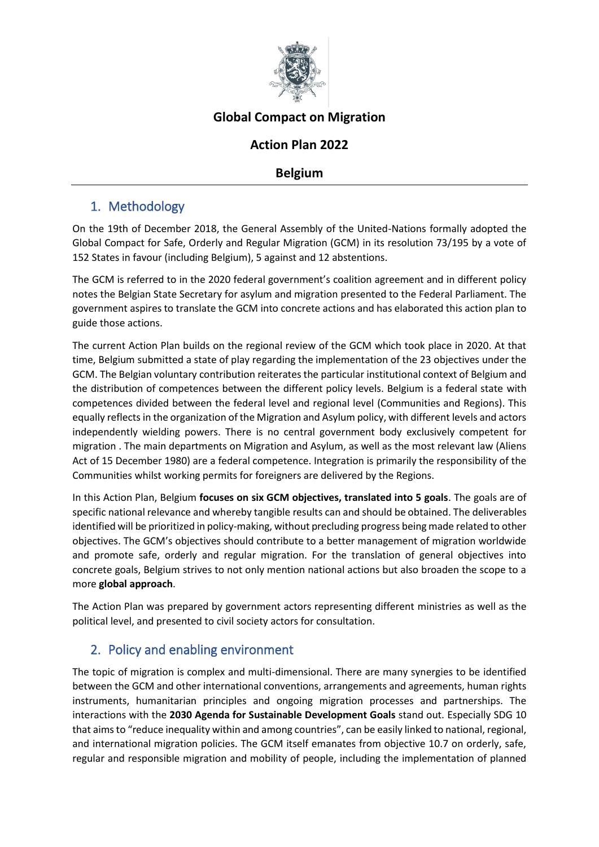

# **Global Compact on Migration**

## **Action Plan 2022**

## **Belgium**

## 1. Methodology

On the 19th of December 2018, the General Assembly of the United-Nations formally adopted the Global Compact for Safe, Orderly and Regular Migration (GCM) in its resolution 73/195 by a vote of 152 States in favour (including Belgium), 5 against and 12 abstentions.

The GCM is referred to in the 2020 federal government's coalition agreement and in different policy notes the Belgian State Secretary for asylum and migration presented to the Federal Parliament. The government aspires to translate the GCM into concrete actions and has elaborated this action plan to guide those actions.

The current Action Plan builds on the regional review of the GCM which took place in 2020. At that time, Belgium submitted a state of play regarding the implementation of the 23 objectives under the GCM. The Belgian voluntary contribution reiterates the particular institutional context of Belgium and the distribution of competences between the different policy levels. Belgium is a federal state with competences divided between the federal level and regional level (Communities and Regions). This equally reflects in the organization of the Migration and Asylum policy, with different levels and actors independently wielding powers. There is no central government body exclusively competent for migration . The main departments on Migration and Asylum, as well as the most relevant law (Aliens Act of 15 December 1980) are a federal competence. Integration is primarily the responsibility of the Communities whilst working permits for foreigners are delivered by the Regions.

In this Action Plan, Belgium **focuses on six GCM objectives, translated into 5 goals**. The goals are of specific national relevance and whereby tangible results can and should be obtained. The deliverables identified will be prioritized in policy-making, without precluding progress being made related to other objectives. The GCM's objectives should contribute to a better management of migration worldwide and promote safe, orderly and regular migration. For the translation of general objectives into concrete goals, Belgium strives to not only mention national actions but also broaden the scope to a more **global approach**.

The Action Plan was prepared by government actors representing different ministries as well as the political level, and presented to civil society actors for consultation.

## 2. Policy and enabling environment

The topic of migration is complex and multi-dimensional. There are many synergies to be identified between the GCM and other international conventions, arrangements and agreements, human rights instruments, humanitarian principles and ongoing migration processes and partnerships. The interactions with the **2030 Agenda for Sustainable Development Goals** stand out. Especially SDG 10 that aims to "reduce inequality within and among countries", can be easily linked to national, regional, and international migration policies. The GCM itself emanates from objective 10.7 on orderly, safe, regular and responsible migration and mobility of people, including the implementation of planned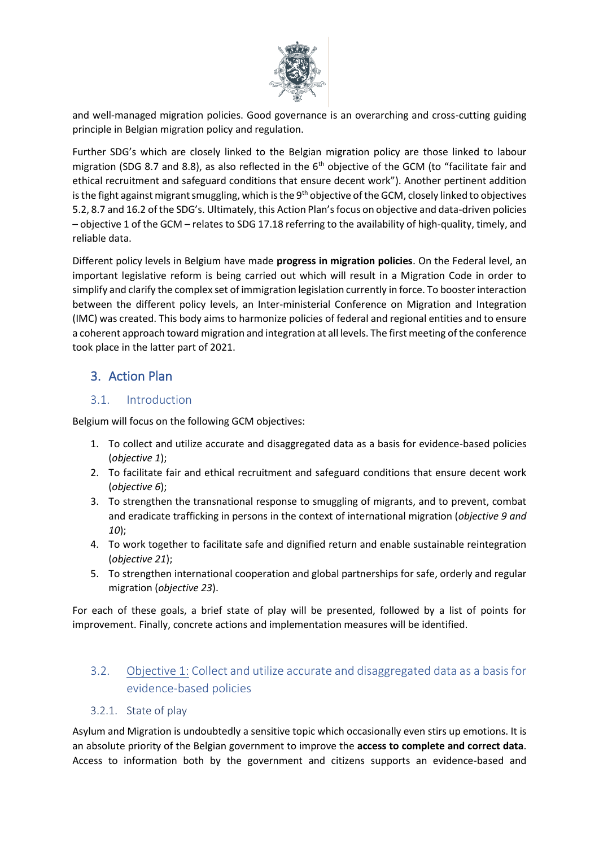

and well-managed migration policies. Good governance is an overarching and cross-cutting guiding principle in Belgian migration policy and regulation.

Further SDG's which are closely linked to the Belgian migration policy are those linked to labour migration (SDG 8.7 and 8.8), as also reflected in the  $6<sup>th</sup>$  objective of the GCM (to "facilitate fair and ethical recruitment and safeguard conditions that ensure decent work"). Another pertinent addition is the fight against migrant smuggling, which is the 9<sup>th</sup> objective of the GCM, closely linked to objectives 5.2, 8.7 and 16.2 of the SDG's. Ultimately, this Action Plan's focus on objective and data-driven policies – objective 1 of the GCM – relates to SDG 17.18 referring to the availability of high-quality, timely, and reliable data.

Different policy levels in Belgium have made **progress in migration policies**. On the Federal level, an important legislative reform is being carried out which will result in a Migration Code in order to simplify and clarify the complex set of immigration legislation currently in force. To booster interaction between the different policy levels, an Inter-ministerial Conference on Migration and Integration (IMC) was created. This body aims to harmonize policies of federal and regional entities and to ensure a coherent approach toward migration and integration at all levels. The first meeting of the conference took place in the latter part of 2021.

# 3. Action Plan

## 3.1. Introduction

Belgium will focus on the following GCM objectives:

- 1. To collect and utilize accurate and disaggregated data as a basis for evidence-based policies (*objective 1*);
- 2. To facilitate fair and ethical recruitment and safeguard conditions that ensure decent work (*objective 6*);
- 3. To strengthen the transnational response to smuggling of migrants, and to prevent, combat and eradicate trafficking in persons in the context of international migration (*objective 9 and 10*);
- 4. To work together to facilitate safe and dignified return and enable sustainable reintegration (*objective 21*);
- 5. To strengthen international cooperation and global partnerships for safe, orderly and regular migration (*objective 23*).

For each of these goals, a brief state of play will be presented, followed by a list of points for improvement. Finally, concrete actions and implementation measures will be identified.

3.2. Objective 1: Collect and utilize accurate and disaggregated data as a basis for evidence-based policies

### 3.2.1. State of play

Asylum and Migration is undoubtedly a sensitive topic which occasionally even stirs up emotions. It is an absolute priority of the Belgian government to improve the **access to complete and correct data**. Access to information both by the government and citizens supports an evidence-based and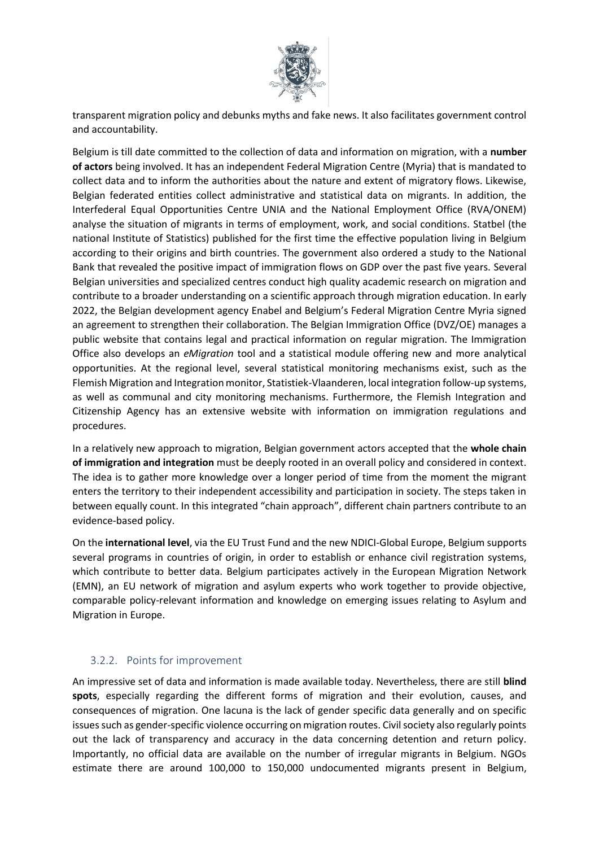

transparent migration policy and debunks myths and fake news. It also facilitates government control and accountability.

Belgium is till date committed to the collection of data and information on migration, with a **number of actors** being involved. It has an independent Federal Migration Centre (Myria) that is mandated to collect data and to inform the authorities about the nature and extent of migratory flows. Likewise, Belgian federated entities collect administrative and statistical data on migrants. In addition, the Interfederal Equal Opportunities Centre UNIA and the National Employment Office (RVA/ONEM) analyse the situation of migrants in terms of employment, work, and social conditions. Statbel (the national Institute of Statistics) published for the first time the effective population living in Belgium according to their origins and birth countries. The government also ordered a study to the National Bank that revealed the positive impact of immigration flows on GDP over the past five years. Several Belgian universities and specialized centres conduct high quality academic research on migration and contribute to a broader understanding on a scientific approach through migration education. In early 2022, the Belgian development agency Enabel and Belgium's Federal Migration Centre Myria signed an agreement to strengthen their collaboration. The Belgian Immigration Office (DVZ/OE) manages a public website that contains legal and practical information on regular migration. The Immigration Office also develops an *eMigration* tool and a statistical module offering new and more analytical opportunities. At the regional level, several statistical monitoring mechanisms exist, such as the Flemish Migration and Integration monitor, Statistiek-Vlaanderen, local integration follow-up systems, as well as communal and city monitoring mechanisms. Furthermore, the Flemish Integration and Citizenship Agency has an extensive website with information on immigration regulations and procedures.

In a relatively new approach to migration, Belgian government actors accepted that the **whole chain of immigration and integration** must be deeply rooted in an overall policy and considered in context. The idea is to gather more knowledge over a longer period of time from the moment the migrant enters the territory to their independent accessibility and participation in society. The steps taken in between equally count. In this integrated "chain approach", different chain partners contribute to an evidence-based policy.

On the **international level**, via the EU Trust Fund and the new NDICI-Global Europe, Belgium supports several programs in countries of origin, in order to establish or enhance civil registration systems, which contribute to better data. Belgium participates actively in the European Migration Network (EMN), an EU network of migration and asylum experts who work together to provide objective, comparable policy-relevant information and knowledge on emerging issues relating to Asylum and Migration in Europe.

### 3.2.2. Points for improvement

An impressive set of data and information is made available today. Nevertheless, there are still **blind spots**, especially regarding the different forms of migration and their evolution, causes, and consequences of migration. One lacuna is the lack of gender specific data generally and on specific issues such as gender-specific violence occurring on migration routes. Civil society also regularly points out the lack of transparency and accuracy in the data concerning detention and return policy. Importantly, no official data are available on the number of irregular migrants in Belgium. NGOs estimate there are around 100,000 to 150,000 undocumented migrants present in Belgium,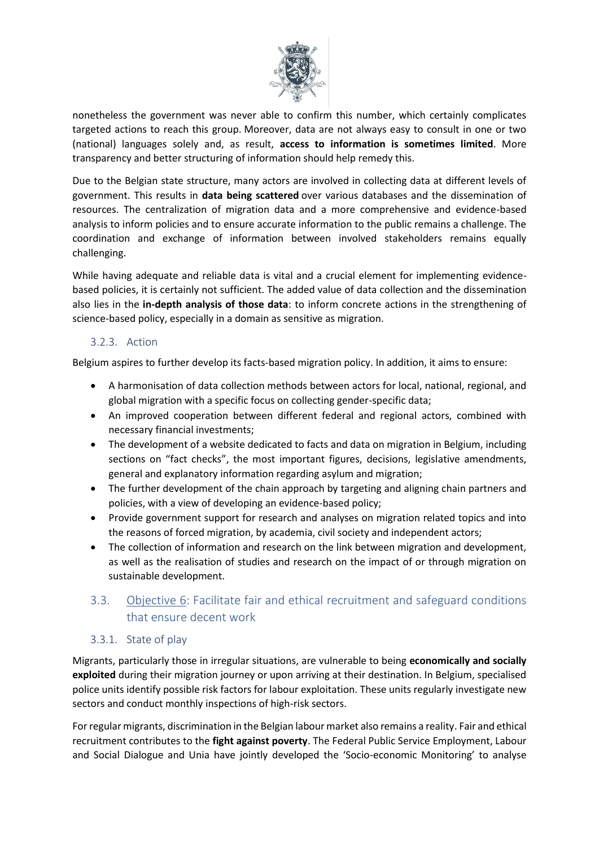

nonetheless the government was never able to confirm this number, which certainly complicates targeted actions to reach this group. Moreover, data are not always easy to consult in one or two (national) languages solely and, as result, **access to information is sometimes limited**. More transparency and better structuring of information should help remedy this.

Due to the Belgian state structure, many actors are involved in collecting data at different levels of government. This results in **data being scattered** over various databases and the dissemination of resources. The centralization of migration data and a more comprehensive and evidence-based analysis to inform policies and to ensure accurate information to the public remains a challenge. The coordination and exchange of information between involved stakeholders remains equally challenging.

While having adequate and reliable data is vital and a crucial element for implementing evidencebased policies, it is certainly not sufficient. The added value of data collection and the dissemination also lies in the **in-depth analysis of those data**: to inform concrete actions in the strengthening of science-based policy, especially in a domain as sensitive as migration.

#### 3.2.3. Action

Belgium aspires to further develop its facts-based migration policy. In addition, it aims to ensure:

- A harmonisation of data collection methods between actors for local, national, regional, and global migration with a specific focus on collecting gender-specific data;
- An improved cooperation between different federal and regional actors, combined with necessary financial investments;
- The development of a website dedicated to facts and data on migration in Belgium, including sections on "fact checks", the most important figures, decisions, legislative amendments, general and explanatory information regarding asylum and migration;
- The further development of the chain approach by targeting and aligning chain partners and policies, with a view of developing an evidence-based policy;
- Provide government support for research and analyses on migration related topics and into the reasons of forced migration, by academia, civil society and independent actors;
- The collection of information and research on the link between migration and development, as well as the realisation of studies and research on the impact of or through migration on sustainable development.

## 3.3. Objective 6: Facilitate fair and ethical recruitment and safeguard conditions that ensure decent work

### 3.3.1. State of play

Migrants, particularly those in irregular situations, are vulnerable to being **economically and socially exploited** during their migration journey or upon arriving at their destination. In Belgium, specialised police units identify possible risk factors for labour exploitation. These units regularly investigate new sectors and conduct monthly inspections of high-risk sectors.

For regular migrants, discrimination in the Belgian labour market also remains a reality. Fair and ethical recruitment contributes to the **fight against poverty**. The Federal Public Service Employment, Labour and Social Dialogue and Unia have jointly developed the 'Socio-economic Monitoring' to analyse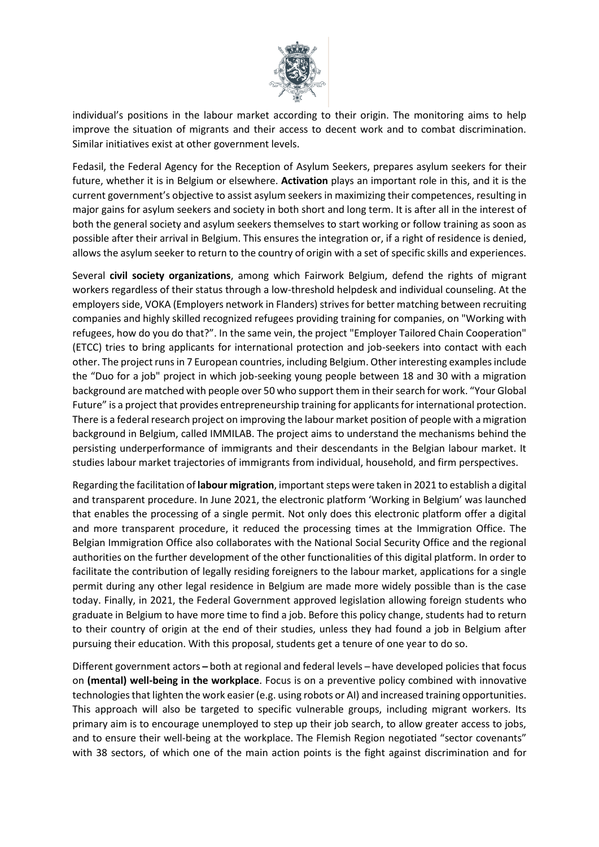

individual's positions in the labour market according to their origin. The monitoring aims to help improve the situation of migrants and their access to decent work and to combat discrimination. Similar initiatives exist at other government levels.

Fedasil, the Federal Agency for the Reception of Asylum Seekers, prepares asylum seekers for their future, whether it is in Belgium or elsewhere. **Activation** plays an important role in this, and it is the current government's objective to assist asylum seekers in maximizing their competences, resulting in major gains for asylum seekers and society in both short and long term. It is after all in the interest of both the general society and asylum seekers themselves to start working or follow training as soon as possible after their arrival in Belgium. This ensures the integration or, if a right of residence is denied, allows the asylum seeker to return to the country of origin with a set of specific skills and experiences.

Several **civil society organizations**, among which Fairwork Belgium, defend the rights of migrant workers regardless of their status through a low-threshold helpdesk and individual counseling. At the employers side, VOKA (Employers network in Flanders) strives for better matching between recruiting companies and highly skilled recognized refugees providing training for companies, on "Working with refugees, how do you do that?". In the same vein, the project "Employer Tailored Chain Cooperation" (ETCC) tries to bring applicants for international protection and job-seekers into contact with each other. The project runs in 7 European countries, including Belgium. Other interesting examples include the "Duo for a job" project in which job-seeking young people between 18 and 30 with a migration background are matched with people over 50 who support them in their search for work. "Your Global Future" is a project that provides entrepreneurship training for applicants for international protection. There is a federal research project on improving the labour market position of people with a migration background in Belgium, called IMMILAB. The project aims to understand the mechanisms behind the persisting underperformance of immigrants and their descendants in the Belgian labour market. It studies labour market trajectories of immigrants from individual, household, and firm perspectives.

Regarding the facilitation of **labour migration**, important steps were taken in 2021 to establish a digital and transparent procedure. In June 2021, the electronic platform 'Working in Belgium' was launched that enables the processing of a single permit. Not only does this electronic platform offer a digital and more transparent procedure, it reduced the processing times at the Immigration Office. The Belgian Immigration Office also collaborates with the National Social Security Office and the regional authorities on the further development of the other functionalities of this digital platform. In order to facilitate the contribution of legally residing foreigners to the labour market, applications for a single permit during any other legal residence in Belgium are made more widely possible than is the case today. Finally, in 2021, the Federal Government approved legislation allowing foreign students who graduate in Belgium to have more time to find a job. Before this policy change, students had to return to their country of origin at the end of their studies, unless they had found a job in Belgium after pursuing their education. With this proposal, students get a tenure of one year to do so.

Different government actors – both at regional and federal levels – have developed policies that focus on **(mental) well-being in the workplace**. Focus is on a preventive policy combined with innovative technologies that lighten the work easier (e.g. using robots or AI) and increased training opportunities. This approach will also be targeted to specific vulnerable groups, including migrant workers. Its primary aim is to encourage unemployed to step up their job search, to allow greater access to jobs, and to ensure their well-being at the workplace. The Flemish Region negotiated "sector covenants" with 38 sectors, of which one of the main action points is the fight against discrimination and for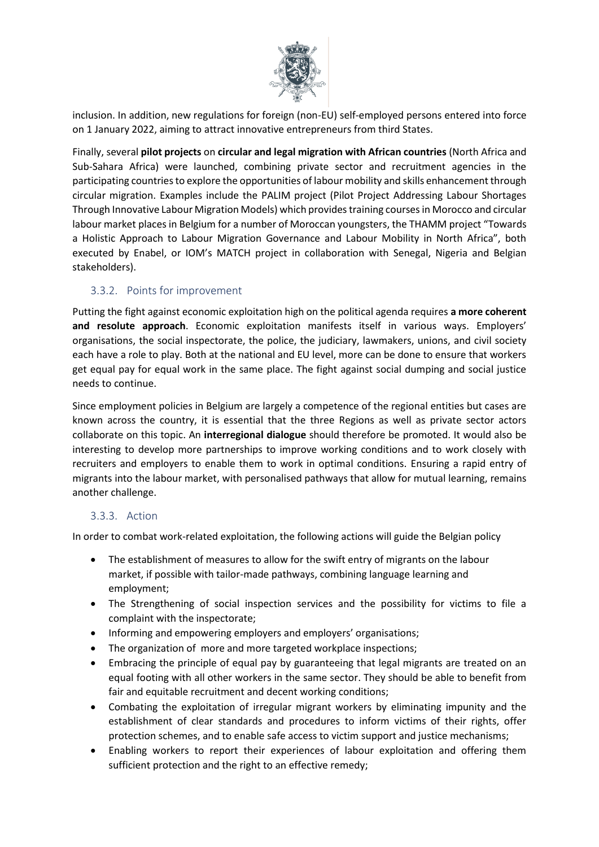

inclusion. In addition, new regulations for foreign (non-EU) self-employed persons entered into force on 1 January 2022, aiming to attract innovative entrepreneurs from third States.

Finally, several **pilot projects** on **circular and legal migration with African countries** (North Africa and Sub-Sahara Africa) were launched, combining private sector and recruitment agencies in the participating countries to explore the opportunities of labour mobility and skills enhancement through circular migration. Examples include the PALIM project (Pilot Project Addressing Labour Shortages Through Innovative Labour Migration Models) which provides training courses in Morocco and circular labour market places in Belgium for a number of Moroccan youngsters, the THAMM project "Towards a Holistic Approach to Labour Migration Governance and Labour Mobility in North Africa", both executed by Enabel, or IOM's MATCH project in collaboration with Senegal, Nigeria and Belgian stakeholders).

### 3.3.2. Points for improvement

Putting the fight against economic exploitation high on the political agenda requires **a more coherent and resolute approach**. Economic exploitation manifests itself in various ways. Employers' organisations, the social inspectorate, the police, the judiciary, lawmakers, unions, and civil society each have a role to play. Both at the national and EU level, more can be done to ensure that workers get equal pay for equal work in the same place. The fight against social dumping and social justice needs to continue.

Since employment policies in Belgium are largely a competence of the regional entities but cases are known across the country, it is essential that the three Regions as well as private sector actors collaborate on this topic. An **interregional dialogue** should therefore be promoted. It would also be interesting to develop more partnerships to improve working conditions and to work closely with recruiters and employers to enable them to work in optimal conditions. Ensuring a rapid entry of migrants into the labour market, with personalised pathways that allow for mutual learning, remains another challenge.

#### 3.3.3. Action

In order to combat work-related exploitation, the following actions will guide the Belgian policy

- The establishment of measures to allow for the swift entry of migrants on the labour market, if possible with tailor-made pathways, combining language learning and employment;
- The Strengthening of social inspection services and the possibility for victims to file a complaint with the inspectorate;
- Informing and empowering employers and employers' organisations;
- The organization of more and more targeted workplace inspections;
- Embracing the principle of equal pay by guaranteeing that legal migrants are treated on an equal footing with all other workers in the same sector. They should be able to benefit from fair and equitable recruitment and decent working conditions;
- Combating the exploitation of irregular migrant workers by eliminating impunity and the establishment of clear standards and procedures to inform victims of their rights, offer protection schemes, and to enable safe access to victim support and justice mechanisms;
- Enabling workers to report their experiences of labour exploitation and offering them sufficient protection and the right to an effective remedy;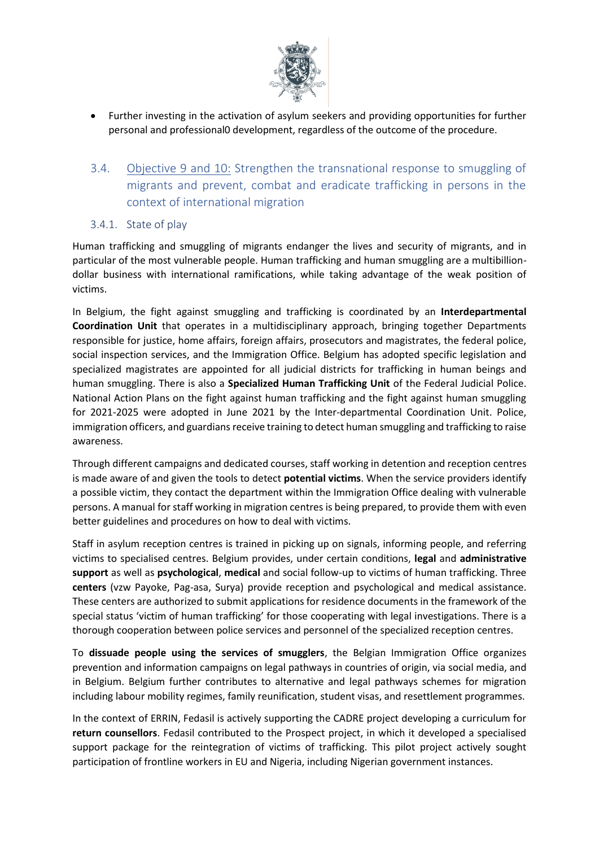

- Further investing in the activation of asylum seekers and providing opportunities for further personal and professional0 development, regardless of the outcome of the procedure.
- 3.4. Objective 9 and 10: Strengthen the transnational response to smuggling of migrants and prevent, combat and eradicate trafficking in persons in the context of international migration
- 3.4.1. State of play

Human trafficking and smuggling of migrants endanger the lives and security of migrants, and in particular of the most vulnerable people. Human trafficking and human smuggling are a multibilliondollar business with international ramifications, while taking advantage of the weak position of victims.

In Belgium, the fight against smuggling and trafficking is coordinated by an **Interdepartmental Coordination Unit** that operates in a multidisciplinary approach, bringing together Departments responsible for justice, home affairs, foreign affairs, prosecutors and magistrates, the federal police, social inspection services, and the Immigration Office. Belgium has adopted specific legislation and specialized magistrates are appointed for all judicial districts for trafficking in human beings and human smuggling. There is also a **Specialized Human Trafficking Unit** of the Federal Judicial Police. National Action Plans on the fight against human trafficking and the fight against human smuggling for 2021-2025 were adopted in June 2021 by the Inter-departmental Coordination Unit. Police, immigration officers, and guardians receive training to detect human smuggling and trafficking to raise awareness.

Through different campaigns and dedicated courses, staff working in detention and reception centres is made aware of and given the tools to detect **potential victims**. When the service providers identify a possible victim, they contact the department within the Immigration Office dealing with vulnerable persons. A manual for staff working in migration centres is being prepared, to provide them with even better guidelines and procedures on how to deal with victims.

Staff in asylum reception centres is trained in picking up on signals, informing people, and referring victims to specialised centres. Belgium provides, under certain conditions, **legal** and **administrative support** as well as **psychological**, **medical** and social follow-up to victims of human trafficking. Three **centers** (vzw Payoke, Pag-asa, Surya) provide reception and psychological and medical assistance. These centers are authorized to submit applications for residence documents in the framework of the special status 'victim of human trafficking' for those cooperating with legal investigations. There is a thorough cooperation between police services and personnel of the specialized reception centres.

To **dissuade people using the services of smugglers**, the Belgian Immigration Office organizes prevention and information campaigns on legal pathways in countries of origin, via social media, and in Belgium. Belgium further contributes to alternative and legal pathways schemes for migration including labour mobility regimes, family reunification, student visas, and resettlement programmes.

In the context of ERRIN, Fedasil is actively supporting the CADRE project developing a curriculum for **return counsellors**. Fedasil contributed to the Prospect project, in which it developed a specialised support package for the reintegration of victims of trafficking. This pilot project actively sought participation of frontline workers in EU and Nigeria, including Nigerian government instances.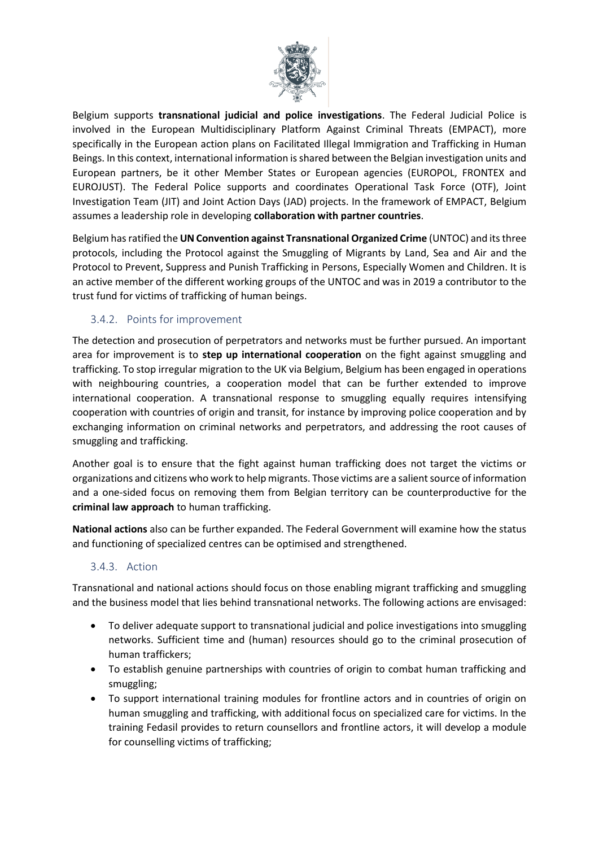

Belgium supports **transnational judicial and police investigations**. The Federal Judicial Police is involved in the European Multidisciplinary Platform Against Criminal Threats (EMPACT), more specifically in the European action plans on Facilitated Illegal Immigration and Trafficking in Human Beings. In this context, international information is shared between the Belgian investigation units and European partners, be it other Member States or European agencies (EUROPOL, FRONTEX and EUROJUST). The Federal Police supports and coordinates Operational Task Force (OTF), Joint Investigation Team (JIT) and Joint Action Days (JAD) projects. In the framework of EMPACT, Belgium assumes a leadership role in developing **collaboration with partner countries**.

Belgium has ratified the **UN Convention against Transnational Organized Crime** (UNTOC) and its three protocols, including the Protocol against the Smuggling of Migrants by Land, Sea and Air and the Protocol to Prevent, Suppress and Punish Trafficking in Persons, Especially Women and Children. It is an active member of the different working groups of the UNTOC and was in 2019 a contributor to the trust fund for victims of trafficking of human beings.

## 3.4.2. Points for improvement

The detection and prosecution of perpetrators and networks must be further pursued. An important area for improvement is to **step up international cooperation** on the fight against smuggling and trafficking. To stop irregular migration to the UK via Belgium, Belgium has been engaged in operations with neighbouring countries, a cooperation model that can be further extended to improve international cooperation. A transnational response to smuggling equally requires intensifying cooperation with countries of origin and transit, for instance by improving police cooperation and by exchanging information on criminal networks and perpetrators, and addressing the root causes of smuggling and trafficking.

Another goal is to ensure that the fight against human trafficking does not target the victims or organizations and citizens who work to help migrants. Those victims are a salient source of information and a one-sided focus on removing them from Belgian territory can be counterproductive for the **criminal law approach** to human trafficking.

**National actions** also can be further expanded. The Federal Government will examine how the status and functioning of specialized centres can be optimised and strengthened.

### 3.4.3. Action

Transnational and national actions should focus on those enabling migrant trafficking and smuggling and the business model that lies behind transnational networks. The following actions are envisaged:

- To deliver adequate support to transnational judicial and police investigations into smuggling networks. Sufficient time and (human) resources should go to the criminal prosecution of human traffickers;
- To establish genuine partnerships with countries of origin to combat human trafficking and smuggling;
- To support international training modules for frontline actors and in countries of origin on human smuggling and trafficking, with additional focus on specialized care for victims. In the training Fedasil provides to return counsellors and frontline actors, it will develop a module for counselling victims of trafficking;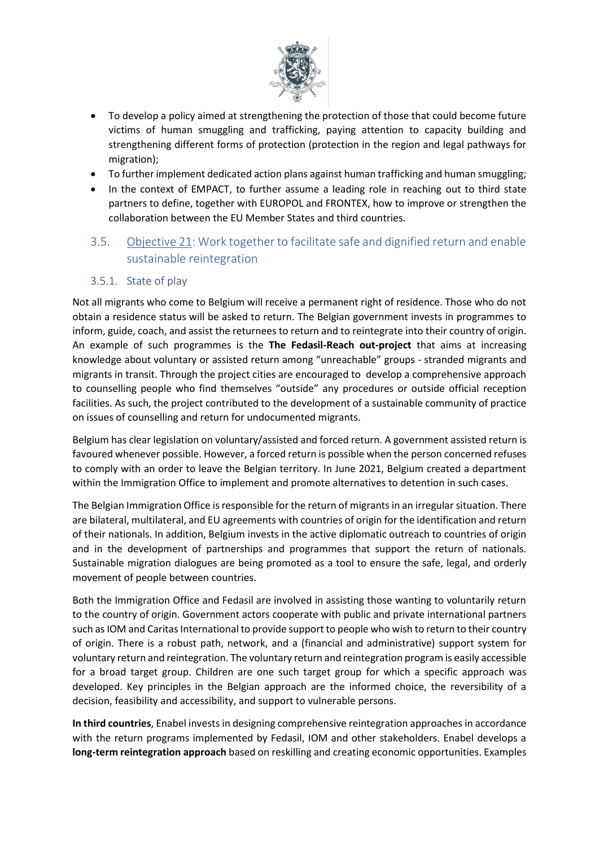

- To develop a policy aimed at strengthening the protection of those that could become future victims of human smuggling and trafficking, paying attention to capacity building and strengthening different forms of protection (protection in the region and legal pathways for migration);
- To further implement dedicated action plans against human trafficking and human smuggling;
- In the context of EMPACT, to further assume a leading role in reaching out to third state partners to define, together with EUROPOL and FRONTEX, how to improve or strengthen the collaboration between the EU Member States and third countries.

## 3.5. Objective 21: Work together to facilitate safe and dignified return and enable sustainable reintegration

#### 3.5.1. State of play

Not all migrants who come to Belgium will receive a permanent right of residence. Those who do not obtain a residence status will be asked to return. The Belgian government invests in programmes to inform, guide, coach, and assist the returnees to return and to reintegrate into their country of origin. An example of such programmes is the **The Fedasil-Reach out-project** that aims at increasing knowledge about voluntary or assisted return among "unreachable" groups - stranded migrants and migrants in transit. Through the project cities are encouraged to develop a comprehensive approach to counselling people who find themselves "outside" any procedures or outside official reception facilities. As such, the project contributed to the development of a sustainable community of practice on issues of counselling and return for undocumented migrants.

Belgium has clear legislation on voluntary/assisted and forced return. A government assisted return is favoured whenever possible. However, a forced return is possible when the person concerned refuses to comply with an order to leave the Belgian territory. In June 2021, Belgium created a department within the Immigration Office to implement and promote alternatives to detention in such cases.

The Belgian Immigration Office is responsible for the return of migrants in an irregular situation. There are bilateral, multilateral, and EU agreements with countries of origin for the identification and return of their nationals. In addition, Belgium invests in the active diplomatic outreach to countries of origin and in the development of partnerships and programmes that support the return of nationals. Sustainable migration dialogues are being promoted as a tool to ensure the safe, legal, and orderly movement of people between countries.

Both the Immigration Office and Fedasil are involved in assisting those wanting to voluntarily return to the country of origin. Government actors cooperate with public and private international partners such as IOM and Caritas International to provide support to people who wish to return to their country of origin. There is a robust path, network, and a (financial and administrative) support system for voluntary return and reintegration. The voluntary return and reintegration program is easily accessible for a broad target group. Children are one such target group for which a specific approach was developed. Key principles in the Belgian approach are the informed choice, the reversibility of a decision, feasibility and accessibility, and support to vulnerable persons.

**In third countries**, Enabel invests in designing comprehensive reintegration approaches in accordance with the return programs implemented by Fedasil, IOM and other stakeholders. Enabel develops a **long-term reintegration approach** based on reskilling and creating economic opportunities. Examples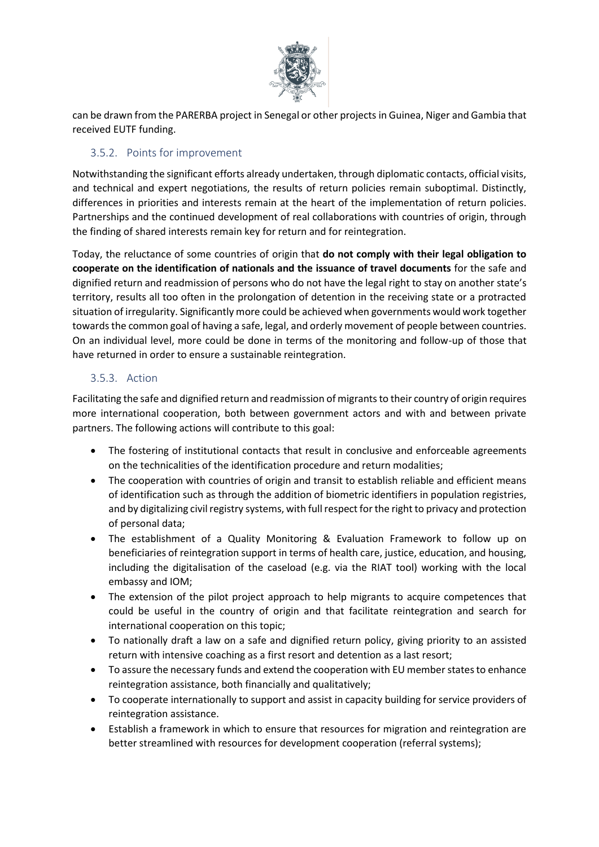

can be drawn from the PARERBA project in Senegal or other projects in Guinea, Niger and Gambia that received EUTF funding.

### 3.5.2. Points for improvement

Notwithstanding the significant efforts already undertaken, through diplomatic contacts, official visits, and technical and expert negotiations, the results of return policies remain suboptimal. Distinctly, differences in priorities and interests remain at the heart of the implementation of return policies. Partnerships and the continued development of real collaborations with countries of origin, through the finding of shared interests remain key for return and for reintegration.

Today, the reluctance of some countries of origin that **do not comply with their legal obligation to cooperate on the identification of nationals and the issuance of travel documents** for the safe and dignified return and readmission of persons who do not have the legal right to stay on another state's territory, results all too often in the prolongation of detention in the receiving state or a protracted situation of irregularity. Significantly more could be achieved when governments would work together towards the common goal of having a safe, legal, and orderly movement of people between countries. On an individual level, more could be done in terms of the monitoring and follow-up of those that have returned in order to ensure a sustainable reintegration.

### 3.5.3. Action

Facilitating the safe and dignified return and readmission of migrants to their country of origin requires more international cooperation, both between government actors and with and between private partners. The following actions will contribute to this goal:

- The fostering of institutional contacts that result in conclusive and enforceable agreements on the technicalities of the identification procedure and return modalities;
- The cooperation with countries of origin and transit to establish reliable and efficient means of identification such as through the addition of biometric identifiers in population registries, and by digitalizing civil registry systems, with full respect for the right to privacy and protection of personal data;
- The establishment of a Quality Monitoring & Evaluation Framework to follow up on beneficiaries of reintegration support in terms of health care, justice, education, and housing, including the digitalisation of the caseload (e.g. via the RIAT tool) working with the local embassy and IOM;
- The extension of the pilot project approach to help migrants to acquire competences that could be useful in the country of origin and that facilitate reintegration and search for international cooperation on this topic;
- To nationally draft a law on a safe and dignified return policy, giving priority to an assisted return with intensive coaching as a first resort and detention as a last resort;
- To assure the necessary funds and extend the cooperation with EU member states to enhance reintegration assistance, both financially and qualitatively;
- To cooperate internationally to support and assist in capacity building for service providers of reintegration assistance.
- Establish a framework in which to ensure that resources for migration and reintegration are better streamlined with resources for development cooperation (referral systems);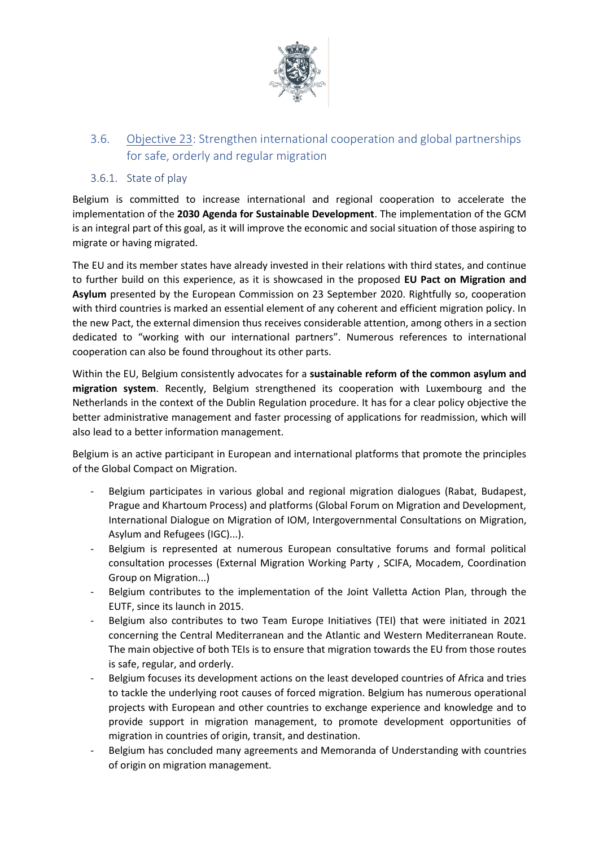

## 3.6. Objective 23: Strengthen international cooperation and global partnerships for safe, orderly and regular migration

### 3.6.1. State of play

Belgium is committed to increase international and regional cooperation to accelerate the implementation of the **2030 Agenda for Sustainable Development**. The implementation of the GCM is an integral part of this goal, as it will improve the economic and social situation of those aspiring to migrate or having migrated.

The EU and its member states have already invested in their relations with third states, and continue to further build on this experience, as it is showcased in the proposed **EU Pact on Migration and Asylum** presented by the European Commission on 23 September 2020. Rightfully so, cooperation with third countries is marked an essential element of any coherent and efficient migration policy. In the new Pact, the external dimension thus receives considerable attention, among others in a section dedicated to "working with our international partners". Numerous references to international cooperation can also be found throughout its other parts.

Within the EU, Belgium consistently advocates for a **sustainable reform of the common asylum and migration system**. Recently, Belgium strengthened its cooperation with Luxembourg and the Netherlands in the context of the Dublin Regulation procedure. It has for a clear policy objective the better administrative management and faster processing of applications for readmission, which will also lead to a better information management.

Belgium is an active participant in European and international platforms that promote the principles of the Global Compact on Migration.

- Belgium participates in various global and regional migration dialogues (Rabat, Budapest, Prague and Khartoum Process) and platforms (Global Forum on Migration and Development, International Dialogue on Migration of IOM, Intergovernmental Consultations on Migration, Asylum and Refugees (IGC)...).
- Belgium is represented at numerous European consultative forums and formal political consultation processes (External Migration Working Party , SCIFA, Mocadem, Coordination Group on Migration...)
- Belgium contributes to the implementation of the Joint Valletta Action Plan, through the EUTF, since its launch in 2015.
- Belgium also contributes to two Team Europe Initiatives (TEI) that were initiated in 2021 concerning the Central Mediterranean and the Atlantic and Western Mediterranean Route. The main objective of both TEIs is to ensure that migration towards the EU from those routes is safe, regular, and orderly.
- Belgium focuses its development actions on the least developed countries of Africa and tries to tackle the underlying root causes of forced migration. Belgium has numerous operational projects with European and other countries to exchange experience and knowledge and to provide support in migration management, to promote development opportunities of migration in countries of origin, transit, and destination.
- Belgium has concluded many agreements and Memoranda of Understanding with countries of origin on migration management.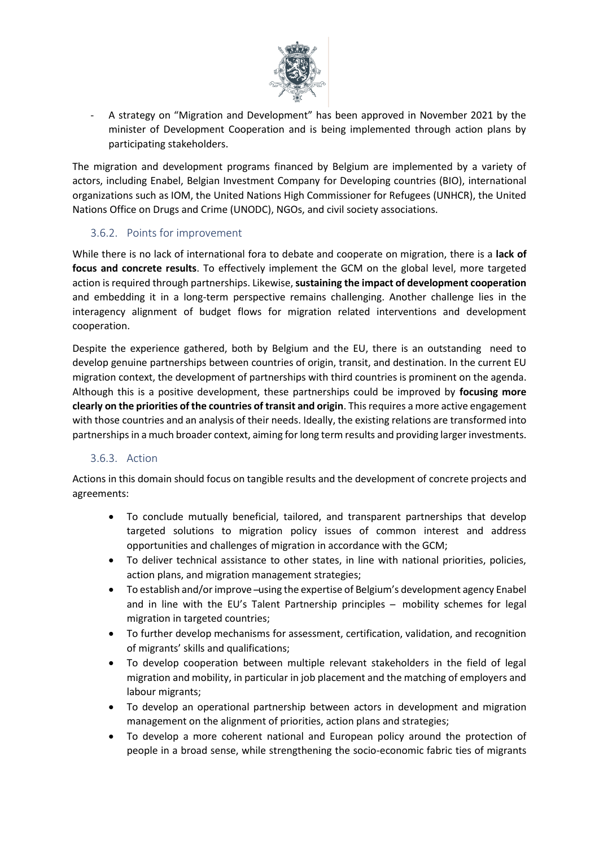

A strategy on "Migration and Development" has been approved in November 2021 by the minister of Development Cooperation and is being implemented through action plans by participating stakeholders.

The migration and development programs financed by Belgium are implemented by a variety of actors, including Enabel, Belgian Investment Company for Developing countries (BIO), international organizations such as IOM, the United Nations High Commissioner for Refugees (UNHCR), the United Nations Office on Drugs and Crime (UNODC), NGOs, and civil society associations.

#### 3.6.2. Points for improvement

While there is no lack of international fora to debate and cooperate on migration, there is a **lack of focus and concrete results**. To effectively implement the GCM on the global level, more targeted action is required through partnerships. Likewise, **sustaining the impact of development cooperation** and embedding it in a long-term perspective remains challenging. Another challenge lies in the interagency alignment of budget flows for migration related interventions and development cooperation.

Despite the experience gathered, both by Belgium and the EU, there is an outstanding need to develop genuine partnerships between countries of origin, transit, and destination. In the current EU migration context, the development of partnerships with third countries is prominent on the agenda. Although this is a positive development, these partnerships could be improved by **focusing more clearly on the priorities of the countries of transit and origin**. This requires a more active engagement with those countries and an analysis of their needs. Ideally, the existing relations are transformed into partnerships in a much broader context, aiming for long term results and providing larger investments.

#### 3.6.3. Action

Actions in this domain should focus on tangible results and the development of concrete projects and agreements:

- To conclude mutually beneficial, tailored, and transparent partnerships that develop targeted solutions to migration policy issues of common interest and address opportunities and challenges of migration in accordance with the GCM;
- To deliver technical assistance to other states, in line with national priorities, policies, action plans, and migration management strategies;
- To establish and/or improve -using the expertise of Belgium's development agency Enabel and in line with the EU's Talent Partnership principles  $-$  mobility schemes for legal migration in targeted countries;
- To further develop mechanisms for assessment, certification, validation, and recognition of migrants' skills and qualifications;
- To develop cooperation between multiple relevant stakeholders in the field of legal migration and mobility, in particular in job placement and the matching of employers and labour migrants;
- To develop an operational partnership between actors in development and migration management on the alignment of priorities, action plans and strategies;
- To develop a more coherent national and European policy around the protection of people in a broad sense, while strengthening the socio-economic fabric ties of migrants